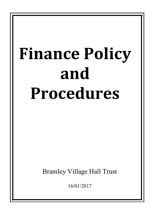# **Finance Policy and Procedures**

Bramley Village Hall Trust

16/01/2017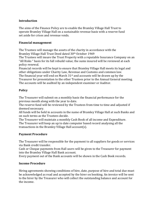# **Introduction**

The aims of the Finance Policy are to enable the Bramley Village Hall Trust to operate Bramley Village Hall on a sustainable revenue basis with a reserve fund set aside for crises and revenue voids.

## **Financial management**

The Trustees will manage the assets of the charity in accordance with the Bramley Village Hall Trust Deed dated 30th October 1969

The Trustees will insure the Trust Property with a reputable Insurance Company on an "All Risks " basis for its full rebuild value; the sums insured will be reviewed at each policy renewal.

Financial records will be kept to ensure that Bramley Village Hall meets its legal and other obligations under Charity Law, Revenue and Customs and common law. The financial year will end on March  $31<sup>st</sup>$  and accounts will be drawn up by the Treasurer for presentation to the other Trustees prior to the Annual General meeting. The accounts will be audited by an independent examiner or Auditor.

## **Policy**

The Treasurer will submit on a monthly basis the financial performance for the previous month along with the year to date.

The reserve fund will be reviewed by the Trustees from time to time and adjusted if deemed necessary.

All funds will be held in accounts in the name of Bramley Village Hall at such Banks and on such terms as the Trustees decide.

The Treasurer will maintain a monthly Cash Book of all income and Expenditure. The Treasurer will keep an up to date computer based record analysing all the transactions in the Bramley Village Hall  $account(s)$ .

# **Payment Procedure**

The Treasurer will be responsible for the payment to all suppliers for goods or services via Bank credit transfer.

Cash or Cheque payments from Hall users will be given to the Treasurer for payment into the Bramley Village Hall Bank account.

Every payment out of the Bank accounts will be shown in the Cash Book records.

#### **Income Procedure**

Hiring agreements showing conditions of hire, date, purpose of hire and total due must be acknowledged as read and accepted by the hirer on booking. An invoice will be sent to the hirer by the Treasurer who will collect the outstanding balance and account for the income.